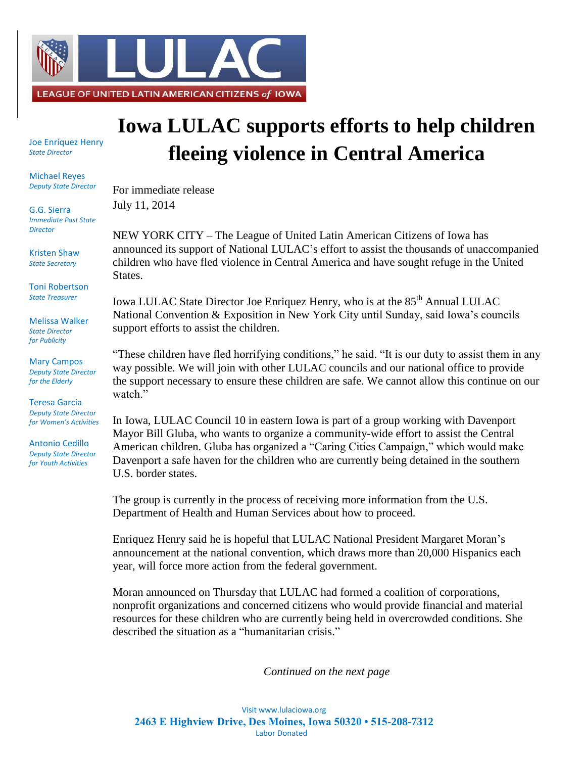

Joe Enríquez Henry *State Director*

Michael Reyes *Deputy State Director*

G.G. Sierra *Immediate Past State Director*

Kristen Shaw *State Secretary*

Toni Robertson *State Treasurer*

Melissa Walker *State Director for Publicity*

Mary Campos *Deputy State Director for the Elderly*

Teresa Garcia *Deputy State Director for Women's Activities*

Antonio Cedillo *Deputy State Director for Youth Activities*

## **Iowa LULAC supports efforts to help children fleeing violence in Central America**

For immediate release July 11, 2014

NEW YORK CITY – The League of United Latin American Citizens of Iowa has announced its support of National LULAC's effort to assist the thousands of unaccompanied children who have fled violence in Central America and have sought refuge in the United States.

Iowa LULAC State Director Joe Enriquez Henry, who is at the 85<sup>th</sup> Annual LULAC National Convention & Exposition in New York City until Sunday, said Iowa's councils support efforts to assist the children.

"These children have fled horrifying conditions," he said. "It is our duty to assist them in any way possible. We will join with other LULAC councils and our national office to provide the support necessary to ensure these children are safe. We cannot allow this continue on our watch."

In Iowa, LULAC Council 10 in eastern Iowa is part of a group working with Davenport Mayor Bill Gluba, who wants to organize a community-wide effort to assist the Central American children. Gluba has organized a "Caring Cities Campaign," which would make Davenport a safe haven for the children who are currently being detained in the southern U.S. border states.

The group is currently in the process of receiving more information from the U.S. Department of Health and Human Services about how to proceed.

Enriquez Henry said he is hopeful that LULAC National President Margaret Moran's announcement at the national convention, which draws more than 20,000 Hispanics each year, will force more action from the federal government.

Moran announced on Thursday that LULAC had formed a coalition of corporations, nonprofit organizations and concerned citizens who would provide financial and material resources for these children who are currently being held in overcrowded conditions. She described the situation as a "humanitarian crisis."

*Continued on the next page*